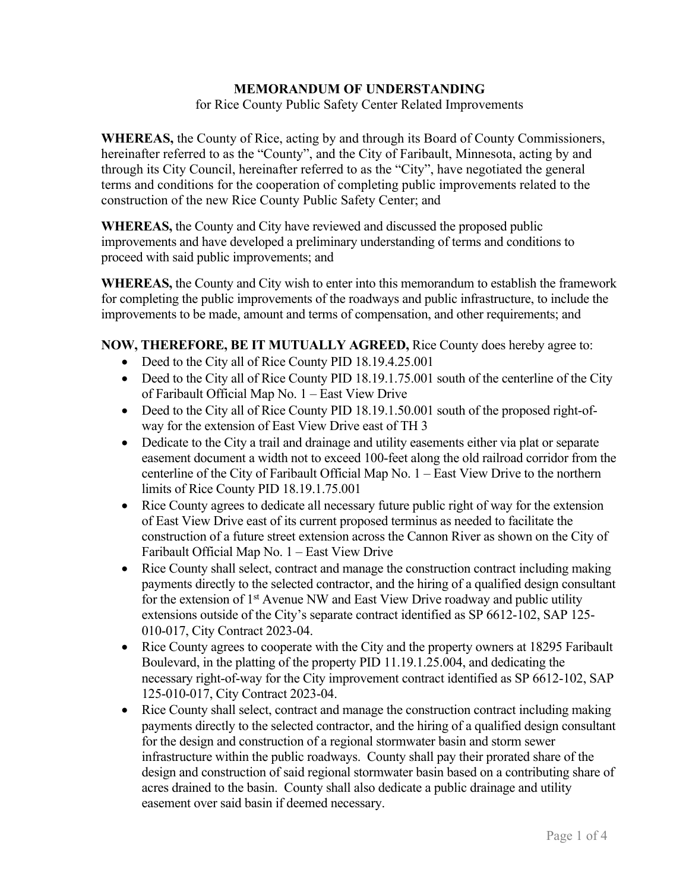### **MEMORANDUM OF UNDERSTANDING**

for Rice County Public Safety Center Related Improvements

**WHEREAS,** the County of Rice, acting by and through its Board of County Commissioners, hereinafter referred to as the "County", and the City of Faribault, Minnesota, acting by and through its City Council, hereinafter referred to as the "City", have negotiated the general terms and conditions for the cooperation of completing public improvements related to the construction of the new Rice County Public Safety Center; and

**WHEREAS,** the County and City have reviewed and discussed the proposed public improvements and have developed a preliminary understanding of terms and conditions to proceed with said public improvements; and

**WHEREAS,** the County and City wish to enter into this memorandum to establish the framework for completing the public improvements of the roadways and public infrastructure, to include the improvements to be made, amount and terms of compensation, and other requirements; and

### **NOW, THEREFORE, BE IT MUTUALLY AGREED,** Rice County does hereby agree to:

- Deed to the City all of Rice County PID 18.19.4.25.001
- Deed to the City all of Rice County PID 18.19.1.75.001 south of the centerline of the City of Faribault Official Map No. 1 – East View Drive
- Deed to the City all of Rice County PID 18.19.1.50.001 south of the proposed right-ofway for the extension of East View Drive east of TH 3
- Dedicate to the City a trail and drainage and utility easements either via plat or separate easement document a width not to exceed 100-feet along the old railroad corridor from the centerline of the City of Faribault Official Map No. 1 – East View Drive to the northern limits of Rice County PID 18.19.1.75.001
- Rice County agrees to dedicate all necessary future public right of way for the extension of East View Drive east of its current proposed terminus as needed to facilitate the construction of a future street extension across the Cannon River as shown on the City of Faribault Official Map No. 1 – East View Drive
- Rice County shall select, contract and manage the construction contract including making payments directly to the selected contractor, and the hiring of a qualified design consultant for the extension of  $1<sup>st</sup>$  Avenue NW and East View Drive roadway and public utility extensions outside of the City's separate contract identified as SP 6612-102, SAP 125- 010-017, City Contract 2023-04.
- Rice County agrees to cooperate with the City and the property owners at 18295 Faribault Boulevard, in the platting of the property PID 11.19.1.25.004, and dedicating the necessary right-of-way for the City improvement contract identified as SP 6612-102, SAP 125-010-017, City Contract 2023-04.
- Rice County shall select, contract and manage the construction contract including making payments directly to the selected contractor, and the hiring of a qualified design consultant for the design and construction of a regional stormwater basin and storm sewer infrastructure within the public roadways. County shall pay their prorated share of the design and construction of said regional stormwater basin based on a contributing share of acres drained to the basin. County shall also dedicate a public drainage and utility easement over said basin if deemed necessary.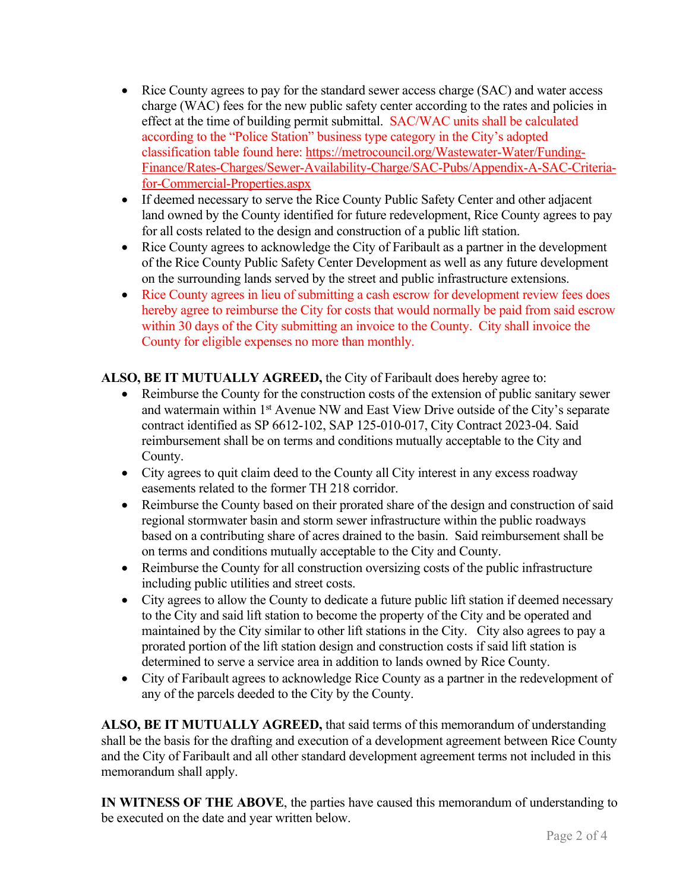- Rice County agrees to pay for the standard sewer access charge (SAC) and water access charge (WAC) fees for the new public safety center according to the rates and policies in effect at the time of building permit submittal. SAC/WAC units shall be calculated according to the "Police Station" business type category in the City's adopted classification table found here: [https://metrocouncil.org/Wastewater-Water/Funding-](https://metrocouncil.org/Wastewater-Water/Funding-Finance/Rates-Charges/Sewer-Availability-Charge/SAC-Pubs/Appendix-A-SAC-Criteria-for-Commercial-Properties.aspx)[Finance/Rates-Charges/Sewer-Availability-Charge/SAC-Pubs/Appendix-A-SAC-Criteria](https://metrocouncil.org/Wastewater-Water/Funding-Finance/Rates-Charges/Sewer-Availability-Charge/SAC-Pubs/Appendix-A-SAC-Criteria-for-Commercial-Properties.aspx)[for-Commercial-Properties.aspx](https://metrocouncil.org/Wastewater-Water/Funding-Finance/Rates-Charges/Sewer-Availability-Charge/SAC-Pubs/Appendix-A-SAC-Criteria-for-Commercial-Properties.aspx)
- If deemed necessary to serve the Rice County Public Safety Center and other adjacent land owned by the County identified for future redevelopment, Rice County agrees to pay for all costs related to the design and construction of a public lift station.
- Rice County agrees to acknowledge the City of Faribault as a partner in the development of the Rice County Public Safety Center Development as well as any future development on the surrounding lands served by the street and public infrastructure extensions.
- Rice County agrees in lieu of submitting a cash escrow for development review fees does hereby agree to reimburse the City for costs that would normally be paid from said escrow within 30 days of the City submitting an invoice to the County. City shall invoice the County for eligible expenses no more than monthly.

**ALSO, BE IT MUTUALLY AGREED,** the City of Faribault does hereby agree to:

- Reimburse the County for the construction costs of the extension of public sanitary sewer and watermain within 1<sup>st</sup> Avenue NW and East View Drive outside of the City's separate contract identified as SP 6612-102, SAP 125-010-017, City Contract 2023-04. Said reimbursement shall be on terms and conditions mutually acceptable to the City and County.
- City agrees to quit claim deed to the County all City interest in any excess roadway easements related to the former TH 218 corridor.
- Reimburse the County based on their prorated share of the design and construction of said regional stormwater basin and storm sewer infrastructure within the public roadways based on a contributing share of acres drained to the basin. Said reimbursement shall be on terms and conditions mutually acceptable to the City and County.
- Reimburse the County for all construction oversizing costs of the public infrastructure including public utilities and street costs.
- City agrees to allow the County to dedicate a future public lift station if deemed necessary to the City and said lift station to become the property of the City and be operated and maintained by the City similar to other lift stations in the City. City also agrees to pay a prorated portion of the lift station design and construction costs if said lift station is determined to serve a service area in addition to lands owned by Rice County.
- City of Faribault agrees to acknowledge Rice County as a partner in the redevelopment of any of the parcels deeded to the City by the County.

**ALSO, BE IT MUTUALLY AGREED,** that said terms of this memorandum of understanding shall be the basis for the drafting and execution of a development agreement between Rice County and the City of Faribault and all other standard development agreement terms not included in this memorandum shall apply.

**IN WITNESS OF THE ABOVE**, the parties have caused this memorandum of understanding to be executed on the date and year written below.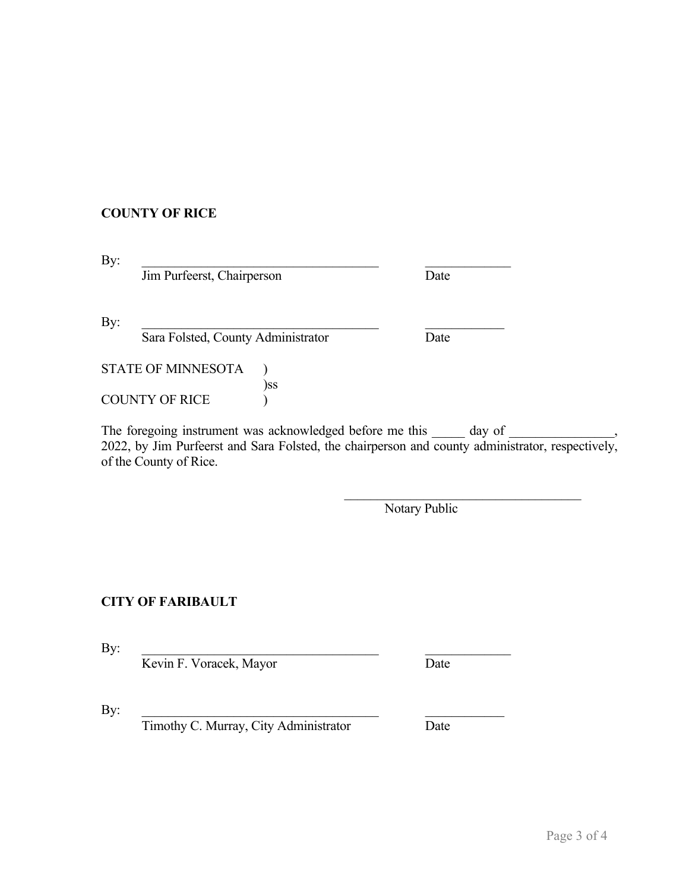## **COUNTY OF RICE**

 $\mathbf{By:}$ **Jim Purfeerst, Chairperson** Date  $\rm\,By:$ **Sara Folsted, County Administrator Date** STATE OF MINNESOTA ) )ss

The foregoing instrument was acknowledged before me this \_\_\_\_\_\_\_ day of \_ 2022, by Jim Purfeerst and Sara Folsted, the chairperson and county administrator, respectively, of the County of Rice.

Notary Public

### **CITY OF FARIBAULT**

COUNTY OF RICE )

 $\mathbf{By:}$ 

Kevin F. Voracek, Mayor Date

 $\rm\,By:$ 

Timothy C. Murray, City Administrator Date